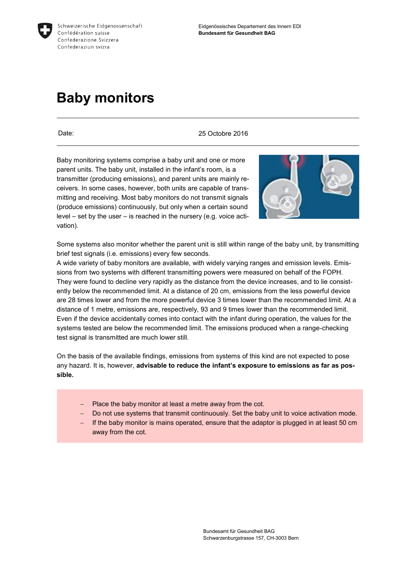

# **Baby monitors**

Date: 25 Octobre 2016

Baby monitoring systems comprise a baby unit and one or more parent units. The baby unit, installed in the infant's room, is a transmitter (producing emissions), and parent units are mainly receivers. In some cases, however, both units are capable of transmitting and receiving. Most baby monitors do not transmit signals (produce emissions) continuously, but only when a certain sound level – set by the user – is reached in the nursery (e.g. voice activation).



Some systems also monitor whether the parent unit is still within range of the baby unit, by transmitting brief test signals (i.e. emissions) every few seconds.

A wide variety of baby monitors are available, with widely varying ranges and emission levels. Emissions from two systems with different transmitting powers were measured on behalf of the FOPH. They were found to decline very rapidly as the distance from the device increases, and to lie consistently below the recommended limit. At a distance of 20 cm, emissions from the less powerful device are 28 times lower and from the more powerful device 3 times lower than the recommended limit. At a distance of 1 metre, emissions are, respectively, 93 and 9 times lower than the recommended limit. Even if the device accidentally comes into contact with the infant during operation, the values for the systems tested are below the recommended limit. The emissions produced when a range-checking test signal is transmitted are much lower still.

On the basis of the available findings, emissions from systems of this kind are not expected to pose any hazard. It is, however, **advisable to reduce the infant's exposure to emissions as far as possible.** 

- $-$  Place the baby monitor at least a metre away from the cot.
- Do not use systems that transmit continuously. Set the baby unit to voice activation mode.
- $-I$  If the baby monitor is mains operated, ensure that the adaptor is plugged in at least 50 cm away from the cot.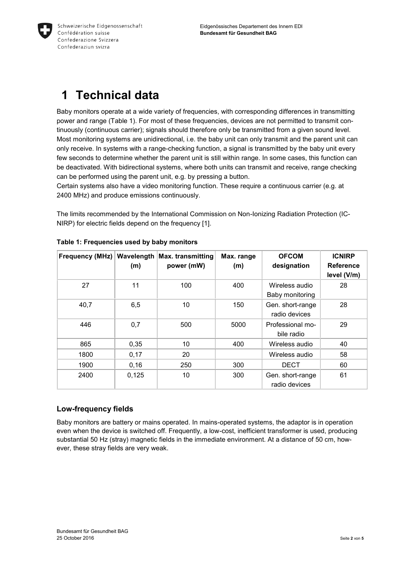

## **1 Technical data**

Baby monitors operate at a wide variety of frequencies, with corresponding differences in transmitting power and range (Table 1). For most of these frequencies, devices are not permitted to transmit continuously (continuous carrier); signals should therefore only be transmitted from a given sound level. Most monitoring systems are unidirectional, i.e. the baby unit can only transmit and the parent unit can only receive. In systems with a range-checking function, a signal is transmitted by the baby unit every few seconds to determine whether the parent unit is still within range. In some cases, this function can be deactivated. With bidirectional systems, where both units can transmit and receive, range checking can be performed using the parent unit, e.g. by pressing a button.

Certain systems also have a video monitoring function. These require a continuous carrier (e.g. at 2400 MHz) and produce emissions continuously.

The limits recommended by the International Commission on Non-Ionizing Radiation Protection (IC-NIRP) for electric fields depend on the frequency [1].

| <b>Frequency (MHz)</b> | Wavelength<br>(m) | <b>Max. transmitting</b><br>power (mW) | Max. range<br>(m) | <b>OFCOM</b><br>designation       | <b>ICNIRP</b><br><b>Reference</b><br>level (V/m) |
|------------------------|-------------------|----------------------------------------|-------------------|-----------------------------------|--------------------------------------------------|
| 27                     | 11                | 100                                    | 400               | Wireless audio<br>Baby monitoring | 28                                               |
| 40,7                   | 6,5               | 10                                     | 150               | Gen. short-range<br>radio devices | 28                                               |
| 446                    | 0,7               | 500                                    | 5000              | Professional mo-<br>bile radio    | 29                                               |
| 865                    | 0,35              | 10                                     | 400               | Wireless audio                    | 40                                               |
| 1800                   | 0,17              | 20                                     |                   | Wireless audio                    | 58                                               |
| 1900                   | 0, 16             | 250                                    | 300               | <b>DECT</b>                       | 60                                               |
| 2400                   | 0,125             | 10                                     | 300               | Gen. short-range<br>radio devices | 61                                               |

|  | Table 1: Frequencies used by baby monitors |  |  |  |
|--|--------------------------------------------|--|--|--|
|--|--------------------------------------------|--|--|--|

#### **Low-frequency fields**

Baby monitors are battery or mains operated. In mains-operated systems, the adaptor is in operation even when the device is switched off. Frequently, a low-cost, inefficient transformer is used, producing substantial 50 Hz (stray) magnetic fields in the immediate environment. At a distance of 50 cm, however, these stray fields are very weak.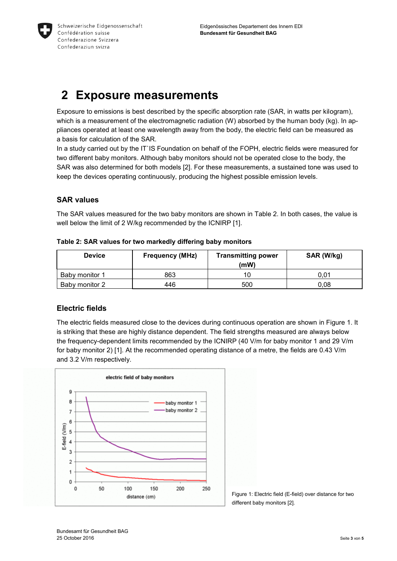

### **2 Exposure measurements**

Exposure to emissions is best described by the specific absorption rate (SAR, in watts per kilogram), which is a measurement of the electromagnetic radiation (W) absorbed by the human body (kg). In appliances operated at least one wavelength away from the body, the electric field can be measured as a basis for calculation of the SAR.

In a study carried out by the IT`IS Foundation on behalf of the FOPH, electric fields were measured for two different baby monitors. Although baby monitors should not be operated close to the body, the SAR was also determined for both models [2]. For these measurements, a sustained tone was used to keep the devices operating continuously, producing the highest possible emission levels.

#### **SAR values**

The SAR values measured for the two baby monitors are shown in Table 2. In both cases, the value is well below the limit of 2 W/kg recommended by the ICNIRP [1].

| <b>Device</b>  | <b>Frequency (MHz)</b> | <b>Transmitting power</b><br>(mW) | SAR (W/kg) |
|----------------|------------------------|-----------------------------------|------------|
| Baby monitor 1 | 863                    | 10                                | 0.01       |
| Baby monitor 2 | 446                    | 500                               | 0.08       |

**Table 2: SAR values for two markedly differing baby monitors** 

#### **Electric fields**

The electric fields measured close to the devices during continuous operation are shown in Figure 1. It is striking that these are highly distance dependent. The field strengths measured are always below the frequency-dependent limits recommended by the ICNIRP (40 V/m for baby monitor 1 and 29 V/m for baby monitor 2) [1]. At the recommended operating distance of a metre, the fields are 0.43 V/m and 3.2 V/m respectively.



Figure 1: Electric field (E-field) over distance for two different baby monitors [2].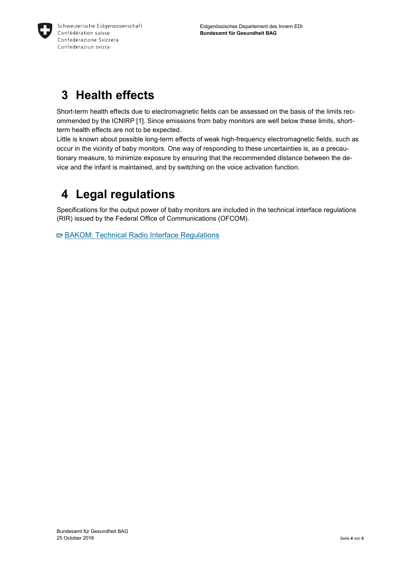

## **3 Health effects**

Short-term health effects due to electromagnetic fields can be assessed on the basis of the limits recommended by the ICNIRP [1]. Since emissions from baby monitors are well below these limits, shortterm health effects are not to be expected.

Little is known about possible long-term effects of weak high-frequency electromagnetic fields, such as occur in the vicinity of baby monitors. One way of responding to these uncertainties is, as a precautionary measure, to minimize exposure by ensuring that the recommended distance between the device and the infant is maintained, and by switching on the voice activation function.

### **4 Legal regulations**

Specifications for the output power of baby monitors are included in the technical interface regulations (RIR) issued by the Federal Office of Communications (OFCOM).

■ BAKOM: Technical Radio Interface Regulations